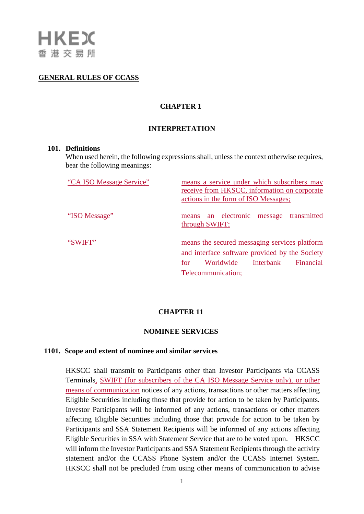## **GENERAL RULES OF CCASS**

# **CHAPTER 1**

## **INTERPRETATION**

#### **101. Definitions**

When used herein, the following expressions shall, unless the context otherwise requires, bear the following meanings:

| "CA ISO Message Service" | means a service under which subscribers may<br>receive from HKSCC, information on corporate<br>actions in the form of ISO Messages;                                 |
|--------------------------|---------------------------------------------------------------------------------------------------------------------------------------------------------------------|
| "ISO Message"            | an electronic message<br>transmitted<br>means<br>through SWIFT;                                                                                                     |
| "SWIFT"                  | means the secured messaging services platform<br>and interface software provided by the Society<br>Worldwide<br>Interbank<br>Financial<br>for<br>Telecommunication; |

## **CHAPTER 11**

### **NOMINEE SERVICES**

#### **1101. Scope and extent of nominee and similar services**

HKSCC shall transmit to Participants other than Investor Participants via CCASS Terminals, SWIFT (for subscribers of the CA ISO Message Service only), or other means of communication notices of any actions, transactions or other matters affecting Eligible Securities including those that provide for action to be taken by Participants. Investor Participants will be informed of any actions, transactions or other matters affecting Eligible Securities including those that provide for action to be taken by Participants and SSA Statement Recipients will be informed of any actions affecting Eligible Securities in SSA with Statement Service that are to be voted upon. HKSCC will inform the Investor Participants and SSA Statement Recipients through the activity statement and/or the CCASS Phone System and/or the CCASS Internet System. HKSCC shall not be precluded from using other means of communication to advise